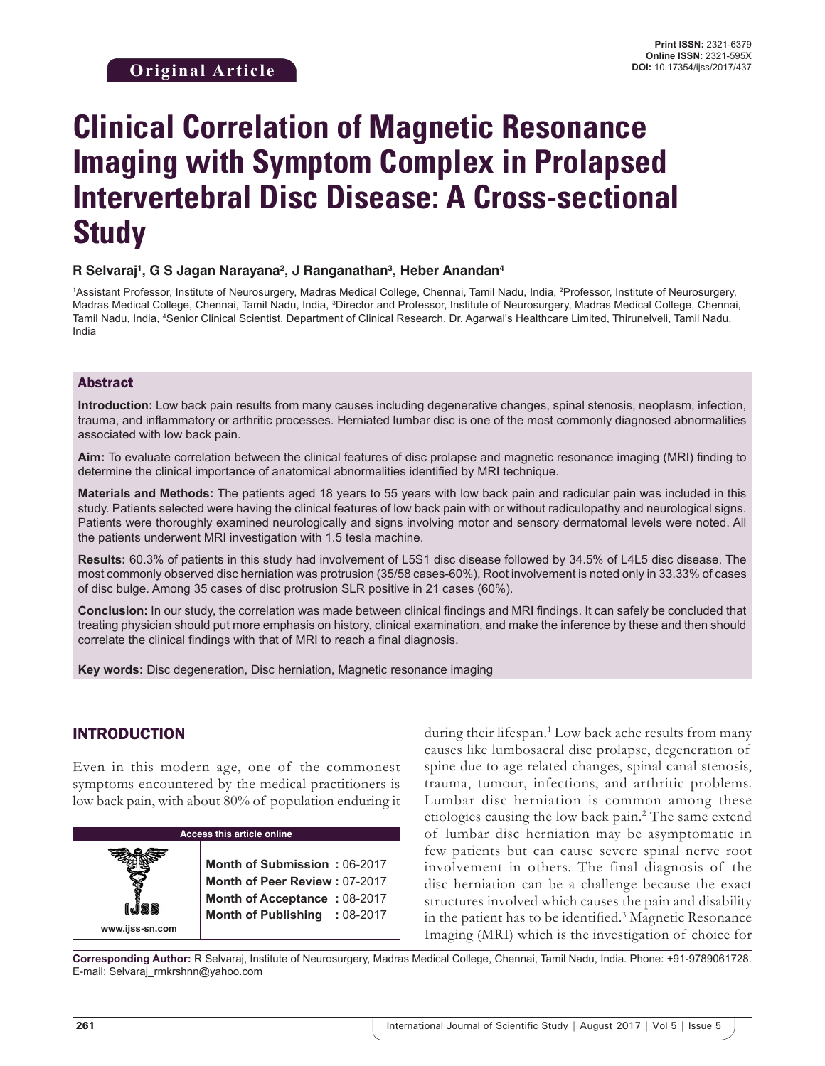# **Clinical Correlation of Magnetic Resonance Imaging with Symptom Complex in Prolapsed Intervertebral Disc Disease: A Cross-sectional Study**

#### **R Selvaraj1 , G S Jagan Narayana2 , J Ranganathan3 , Heber Anandan4**

<sup>1</sup>Assistant Professor, Institute of Neurosurgery, Madras Medical College, Chennai, Tamil Nadu, India, <sup>2</sup>Professor, Institute of Neurosurgery, Madras Medical College, Chennai, Tamil Nadu, India, <sup>3</sup>Director and Professor, Institute of Neurosurgery, Madras Medical College, Chennai, Tamil Nadu, India, 4 Senior Clinical Scientist, Department of Clinical Research, Dr. Agarwal's Healthcare Limited, Thirunelveli, Tamil Nadu, India

#### Abstract

**Introduction:** Low back pain results from many causes including degenerative changes, spinal stenosis, neoplasm, infection, trauma, and inflammatory or arthritic processes. Herniated lumbar disc is one of the most commonly diagnosed abnormalities associated with low back pain.

**Aim:** To evaluate correlation between the clinical features of disc prolapse and magnetic resonance imaging (MRI) finding to determine the clinical importance of anatomical abnormalities identified by MRI technique.

**Materials and Methods:** The patients aged 18 years to 55 years with low back pain and radicular pain was included in this study. Patients selected were having the clinical features of low back pain with or without radiculopathy and neurological signs. Patients were thoroughly examined neurologically and signs involving motor and sensory dermatomal levels were noted. All the patients underwent MRI investigation with 1.5 tesla machine.

**Results:** 60.3% of patients in this study had involvement of L5S1 disc disease followed by 34.5% of L4L5 disc disease. The most commonly observed disc herniation was protrusion (35/58 cases-60%), Root involvement is noted only in 33.33% of cases of disc bulge. Among 35 cases of disc protrusion SLR positive in 21 cases (60%).

**Conclusion:** In our study, the correlation was made between clinical findings and MRI findings. It can safely be concluded that treating physician should put more emphasis on history, clinical examination, and make the inference by these and then should correlate the clinical findings with that of MRI to reach a final diagnosis.

**Key words:** Disc degeneration, Disc herniation, Magnetic resonance imaging

## INTRODUCTION

Even in this modern age, one of the commonest symptoms encountered by the medical practitioners is low back pain, with about 80% of population enduring it



during their lifespan.1 Low back ache results from many causes like lumbosacral disc prolapse, degeneration of spine due to age related changes, spinal canal stenosis, trauma, tumour, infections, and arthritic problems. Lumbar disc herniation is common among these etiologies causing the low back pain.<sup>2</sup> The same extend of lumbar disc herniation may be asymptomatic in few patients but can cause severe spinal nerve root involvement in others. The final diagnosis of the disc herniation can be a challenge because the exact structures involved which causes the pain and disability in the patient has to be identified.<sup>3</sup> Magnetic Resonance Imaging (MRI) which is the investigation of choice for

**Corresponding Author:** R Selvaraj, Institute of Neurosurgery, Madras Medical College, Chennai, Tamil Nadu, India. Phone: +91-9789061728. E-mail: Selvaraj\_rmkrshnn@yahoo.com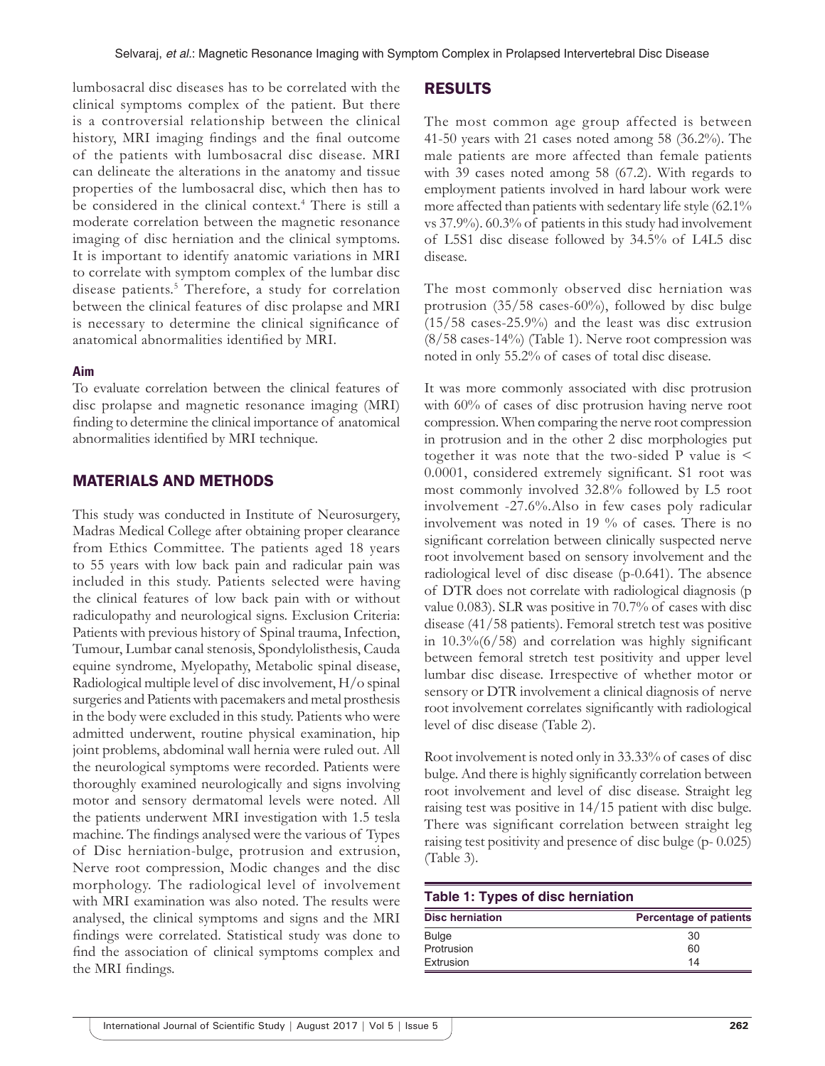lumbosacral disc diseases has to be correlated with the clinical symptoms complex of the patient. But there is a controversial relationship between the clinical history, MRI imaging findings and the final outcome of the patients with lumbosacral disc disease. MRI can delineate the alterations in the anatomy and tissue properties of the lumbosacral disc, which then has to be considered in the clinical context.<sup>4</sup> There is still a moderate correlation between the magnetic resonance imaging of disc herniation and the clinical symptoms. It is important to identify anatomic variations in MRI to correlate with symptom complex of the lumbar disc disease patients.<sup>5</sup> Therefore, a study for correlation between the clinical features of disc prolapse and MRI is necessary to determine the clinical significance of anatomical abnormalities identified by MRI.

#### **Aim**

To evaluate correlation between the clinical features of disc prolapse and magnetic resonance imaging (MRI) finding to determine the clinical importance of anatomical abnormalities identified by MRI technique.

#### MATERIALS AND METHODS

This study was conducted in Institute of Neurosurgery, Madras Medical College after obtaining proper clearance from Ethics Committee. The patients aged 18 years to 55 years with low back pain and radicular pain was included in this study. Patients selected were having the clinical features of low back pain with or without radiculopathy and neurological signs. Exclusion Criteria: Patients with previous history of Spinal trauma, Infection, Tumour, Lumbar canal stenosis, Spondylolisthesis, Cauda equine syndrome, Myelopathy, Metabolic spinal disease, Radiological multiple level of disc involvement, H/o spinal surgeries and Patients with pacemakers and metal prosthesis in the body were excluded in this study. Patients who were admitted underwent, routine physical examination, hip joint problems, abdominal wall hernia were ruled out. All the neurological symptoms were recorded. Patients were thoroughly examined neurologically and signs involving motor and sensory dermatomal levels were noted. All the patients underwent MRI investigation with 1.5 tesla machine. The findings analysed were the various of Types of Disc herniation-bulge, protrusion and extrusion, Nerve root compression, Modic changes and the disc morphology. The radiological level of involvement with MRI examination was also noted. The results were analysed, the clinical symptoms and signs and the MRI findings were correlated. Statistical study was done to find the association of clinical symptoms complex and the MRI findings.

#### RESULTS

The most common age group affected is between 41-50 years with 21 cases noted among 58 (36.2%). The male patients are more affected than female patients with 39 cases noted among 58 (67.2). With regards to employment patients involved in hard labour work were more affected than patients with sedentary life style (62.1% vs 37.9%). 60.3% of patients in this study had involvement of L5S1 disc disease followed by 34.5% of L4L5 disc disease.

The most commonly observed disc herniation was protrusion (35/58 cases-60%), followed by disc bulge (15/58 cases-25.9%) and the least was disc extrusion (8/58 cases-14%) (Table 1). Nerve root compression was noted in only 55.2% of cases of total disc disease.

It was more commonly associated with disc protrusion with 60% of cases of disc protrusion having nerve root compression. When comparing the nerve root compression in protrusion and in the other 2 disc morphologies put together it was note that the two-sided P value is < 0.0001, considered extremely significant. S1 root was most commonly involved 32.8% followed by L5 root involvement -27.6%.Also in few cases poly radicular involvement was noted in 19 % of cases. There is no significant correlation between clinically suspected nerve root involvement based on sensory involvement and the radiological level of disc disease (p-0.641). The absence of DTR does not correlate with radiological diagnosis (p value 0.083). SLR was positive in 70.7% of cases with disc disease (41/58 patients). Femoral stretch test was positive in 10.3%(6/58) and correlation was highly significant between femoral stretch test positivity and upper level lumbar disc disease. Irrespective of whether motor or sensory or DTR involvement a clinical diagnosis of nerve root involvement correlates significantly with radiological level of disc disease (Table 2).

Root involvement is noted only in 33.33% of cases of disc bulge. And there is highly significantly correlation between root involvement and level of disc disease. Straight leg raising test was positive in 14/15 patient with disc bulge. There was significant correlation between straight leg raising test positivity and presence of disc bulge (p- 0.025) (Table 3).

|  |  |  | Table 1: Types of disc herniation |
|--|--|--|-----------------------------------|
|--|--|--|-----------------------------------|

| <b>Disc herniation</b> | <b>Percentage of patients</b> |
|------------------------|-------------------------------|
| <b>Bulge</b>           | 30                            |
| Protrusion             | 60                            |
| Extrusion              | 14                            |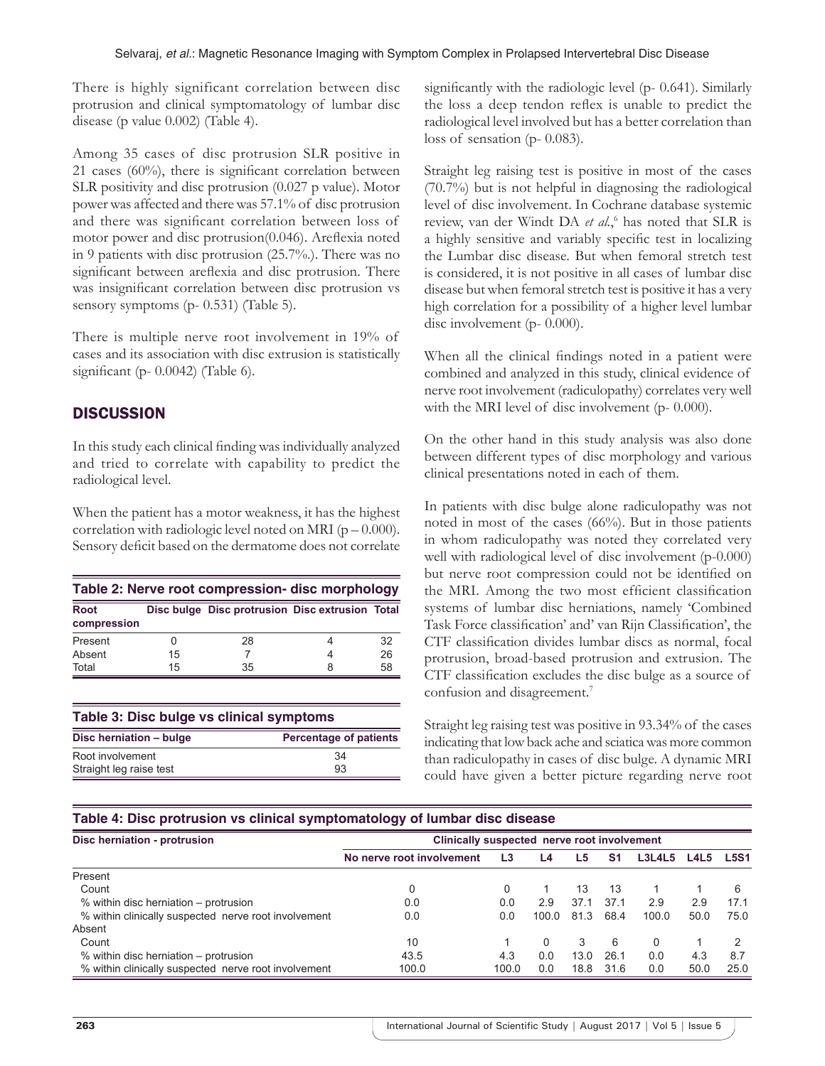There is highly significant correlation between disc protrusion and clinical symptomatology of lumbar disc disease (p value 0.002) (Table 4).

Among 35 cases of disc protrusion SLR positive in 21 cases (60%), there is significant correlation between SLR positivity and disc protrusion (0.027 p value). Motor power was affected and there was 57.1% of disc protrusion and there was significant correlation between loss of motor power and disc protrusion(0.046). Areflexia noted in 9 patients with disc protrusion (25.7%.). There was no significant between areflexia and disc protrusion. There was insignificant correlation between disc protrusion vs sensory symptoms (p- 0.531) (Table 5).

There is multiple nerve root involvement in 19% of cases and its association with disc extrusion is statistically significant (p- 0.0042) (Table 6).

## **DISCUSSION**

In this study each clinical finding was individually analyzed and tried to correlate with capability to predict the radiological level.

When the patient has a motor weakness, it has the highest correlation with radiologic level noted on MRI ( $p = 0.000$ ). Sensory deficit based on the dermatome does not correlate

| Table 2: Nerve root compression-disc morphology |    |                                                 |   |    |  |  |
|-------------------------------------------------|----|-------------------------------------------------|---|----|--|--|
| <b>Root</b><br>compression                      |    | Disc bulge Disc protrusion Disc extrusion Total |   |    |  |  |
| Present                                         |    | 28                                              | 4 | 32 |  |  |
| Absent                                          | 15 |                                                 | 4 | 26 |  |  |
| Total                                           | 15 | 35                                              | 8 | 58 |  |  |

| Table 3: Disc bulge vs clinical symptoms |                               |  |  |  |  |
|------------------------------------------|-------------------------------|--|--|--|--|
| Disc herniation - bulge                  | <b>Percentage of patients</b> |  |  |  |  |
| Root involvement                         | 34                            |  |  |  |  |
| Straight leg raise test                  | 93                            |  |  |  |  |

significantly with the radiologic level (p- 0.641). Similarly the loss a deep tendon reflex is unable to predict the radiological level involved but has a better correlation than loss of sensation (p- 0.083).

Straight leg raising test is positive in most of the cases (70.7%) but is not helpful in diagnosing the radiological level of disc involvement. In Cochrane database systemic review, van der Windt DA *et al.*, 6 has noted that SLR is a highly sensitive and variably specific test in localizing the Lumbar disc disease. But when femoral stretch test is considered, it is not positive in all cases of lumbar disc disease but when femoral stretch test is positive it has a very high correlation for a possibility of a higher level lumbar disc involvement (p- 0.000).

When all the clinical findings noted in a patient were combined and analyzed in this study, clinical evidence of nerve root involvement (radiculopathy) correlates very well with the MRI level of disc involvement (p- 0.000).

On the other hand in this study analysis was also done between different types of disc morphology and various clinical presentations noted in each of them.

In patients with disc bulge alone radiculopathy was not noted in most of the cases (66%). But in those patients in whom radiculopathy was noted they correlated very well with radiological level of disc involvement (p-0.000) but nerve root compression could not be identified on the MRI. Among the two most efficient classification systems of lumbar disc herniations, namely 'Combined Task Force classification' and' van Rijn Classification', the CTF classification divides lumbar discs as normal, focal protrusion, broad-based protrusion and extrusion. The CTF classification excludes the disc bulge as a source of confusion and disagreement.7

Straight leg raising test was positive in 93.34% of the cases indicating that low back ache and sciatica was more common than radiculopathy in cases of disc bulge. A dynamic MRI could have given a better picture regarding nerve root

#### **Table 4: Disc protrusion vs clinical symptomatology of lumbar disc disease**

| Disc herniation - protrusion                         | Clinically suspected nerve root involvement |                |       |      |      |          |      |             |
|------------------------------------------------------|---------------------------------------------|----------------|-------|------|------|----------|------|-------------|
|                                                      | No nerve root involvement                   | L <sub>3</sub> | L4    | L5   | S1   | L3L4L5   | L4L5 | <b>L5S1</b> |
| Present                                              |                                             |                |       |      |      |          |      |             |
| Count                                                |                                             |                |       | 13   | 13   |          |      |             |
| % within disc herniation – protrusion                | 0.0                                         | 0.0            | 2.9   | 37.1 | 37.1 | 2.9      | 2.9  | 17.1        |
| % within clinically suspected nerve root involvement | 0.0                                         | 0.0            | 100.0 | 81.3 | 68.4 | 100.0    | 50.0 | 75.0        |
| Absent                                               |                                             |                |       |      |      |          |      |             |
| Count                                                | 10                                          |                | 0     | 3    | 6    | $\Omega$ |      |             |
| % within disc herniation – protrusion                | 43.5                                        | 4.3            | 0.0   | 13.0 | 26.1 | 0.0      | 4.3  | 8.7         |
| % within clinically suspected nerve root involvement | 100.0                                       | 100.0          | 0.0   | 18.8 | 31.6 | 0.0      | 50.0 | 25.0        |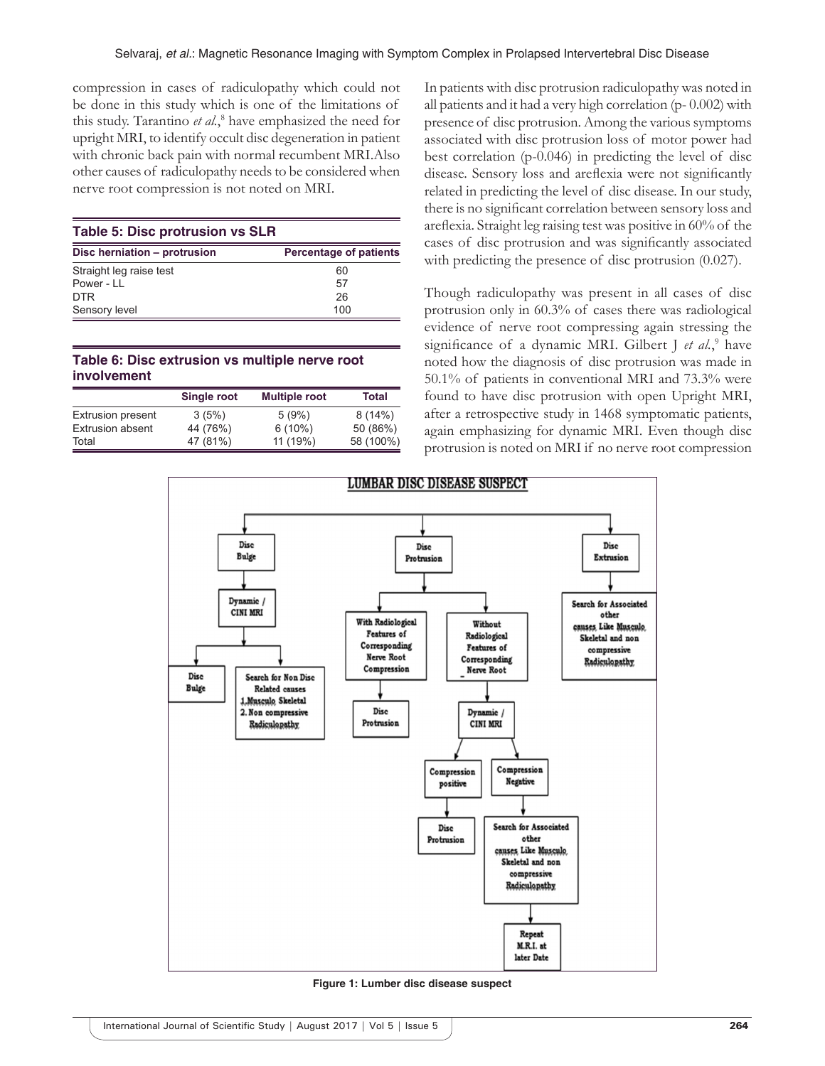compression in cases of radiculopathy which could not be done in this study which is one of the limitations of this study. Tarantino *et al.*, 8 have emphasized the need for upright MRI, to identify occult disc degeneration in patient with chronic back pain with normal recumbent MRI.Also other causes of radiculopathy needs to be considered when nerve root compression is not noted on MRI.

| <b>Table 5: Disc protrusion vs SLR</b> |                               |  |  |  |
|----------------------------------------|-------------------------------|--|--|--|
| Disc herniation - protrusion           | <b>Percentage of patients</b> |  |  |  |
| Straight leg raise test                | 60                            |  |  |  |
| Power - LL                             | 57                            |  |  |  |
| DTR.                                   | 26                            |  |  |  |
| Sensory level                          | 100                           |  |  |  |

#### **Table 6: Disc extrusion vs multiple nerve root involvement**

|                          | <b>Single root</b> | <b>Multiple root</b> | Total     |
|--------------------------|--------------------|----------------------|-----------|
| <b>Extrusion present</b> | 3(5%)              | 5(9%)                | 8(14%)    |
| <b>Extrusion absent</b>  | 44 (76%)           | $6(10\%)$            | 50 (86%)  |
| Total                    | 47 (81%)           | 11 (19%)             | 58 (100%) |

In patients with disc protrusion radiculopathy was noted in all patients and it had a very high correlation (p- 0.002) with presence of disc protrusion. Among the various symptoms associated with disc protrusion loss of motor power had best correlation (p-0.046) in predicting the level of disc disease. Sensory loss and areflexia were not significantly related in predicting the level of disc disease. In our study, there is no significant correlation between sensory loss and areflexia. Straight leg raising test was positive in 60% of the cases of disc protrusion and was significantly associated with predicting the presence of disc protrusion (0.027).

Though radiculopathy was present in all cases of disc protrusion only in 60.3% of cases there was radiological evidence of nerve root compressing again stressing the significance of a dynamic MRI. Gilbert J et al.,<sup>9</sup> have noted how the diagnosis of disc protrusion was made in 50.1% of patients in conventional MRI and 73.3% were found to have disc protrusion with open Upright MRI, after a retrospective study in 1468 symptomatic patients, again emphasizing for dynamic MRI. Even though disc protrusion is noted on MRI if no nerve root compression



**Figure 1: Lumber disc disease suspect**